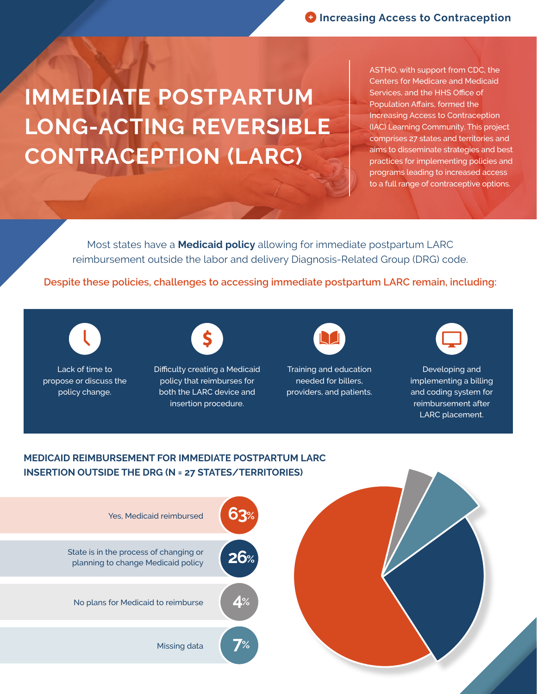## **IMMEDIATE POSTPARTUM LONG-ACTING REVERSIBLE CONTRACEPTION (LARC)**

ASTHO, with support from CDC, the Centers for Medicare and Medicaid Services, and the HHS Office of Population Affairs, formed the Increasing Access to Contraception (IAC) Learning Community. This project comprises 27 states and territories and aims to disseminate strategies and best practices for implementing policies and programs leading to increased access to a full range of contraceptive options.

Most states have a **Medicaid policy** allowing for immediate postpartum LARC reimbursement outside the labor and delivery Diagnosis-Related Group (DRG) code.

**Despite these policies, challenges to accessing immediate postpartum LARC remain, including:**



Lack of time to propose or discuss the policy change.



Difficulty creating a Medicaid policy that reimburses for both the LARC device and insertion procedure.

Training and education needed for billers, providers, and patients.



Developing and implementing a billing and coding system for reimbursement after LARC placement.

## **MEDICAID REIMBURSEMENT FOR IMMEDIATE POSTPARTUM LARC INSERTION OUTSIDE THE DRG (N = 27 STATES/TERRITORIES)**